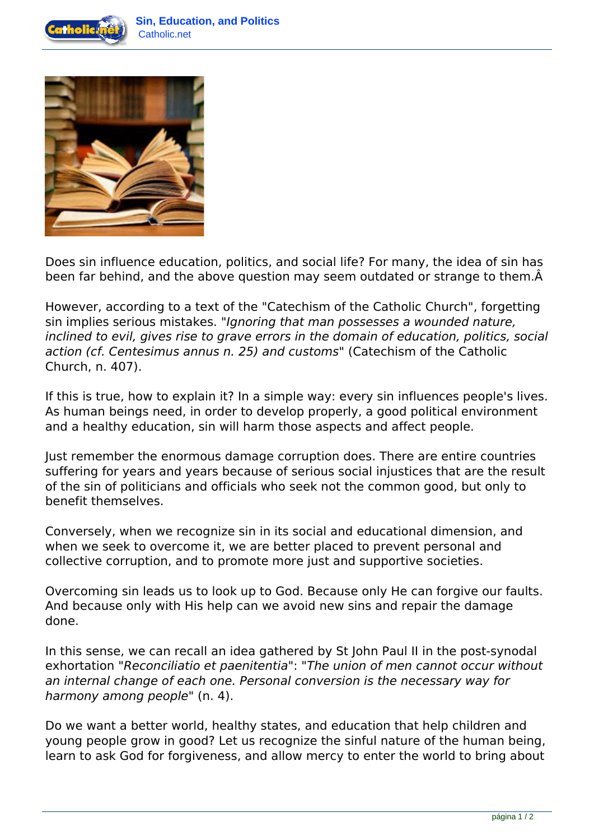



Does sin influence education, politics, and social life? For many, the idea of sin has been far behind, and the above question may seem outdated or strange to them.  $\hat{A}$ 

However, according to a text of the "Catechism of the Catholic Church", forgetting sin implies serious mistakes. *"Ignoring that man possesses a wounded nature, inclined to evil, gives rise to grave errors in the domain of education, politics, social action (cf. Centesimus annus n. 25) and customs"* (Catechism of the Catholic Church, n. 407).

If this is true, how to explain it? In a simple way: every sin influences people's lives. As human beings need, in order to develop properly, a good political environment and a healthy education, sin will harm those aspects and affect people.

Just remember the enormous damage corruption does. There are entire countries suffering for years and years because of serious social injustices that are the result of the sin of politicians and officials who seek not the common good, but only to benefit themselves.

Conversely, when we recognize sin in its social and educational dimension, and when we seek to overcome it, we are better placed to prevent personal and collective corruption, and to promote more just and supportive societies.

Overcoming sin leads us to look up to God. Because only He can forgive our faults. And because only with His help can we avoid new sins and repair the damage done.

In this sense, we can recall an idea gathered by St John Paul II in the post-synodal exhortation *"Reconciliatio et paenitentia"*: *"The union of men cannot occur without an internal change of each one. Personal conversion is the necessary way for harmony among people"* (n. 4).

Do we want a better world, healthy states, and education that help children and young people grow in good? Let us recognize the sinful nature of the human being, learn to ask God for forgiveness, and allow mercy to enter the world to bring about